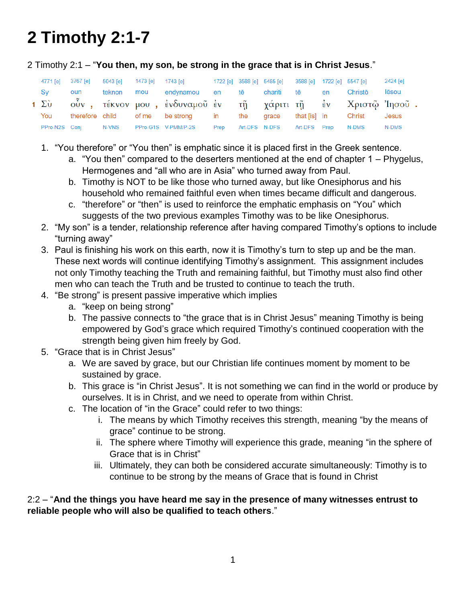# **2 Timothy 2:1-7**

2 Timothy 2:1 – "**You then, my son, be strong in the grace that is in Christ Jesus**."

| 4771 [e] | 3767 [e] 5043 [e] |  | 1473 [e] 1743 [e] 1722 [e] 3588 [e] 5485 [e] 3588 [e] 1722 [e] 5547 [e] |  |                            |  |                       | 2424 [e] |
|----------|-------------------|--|-------------------------------------------------------------------------|--|----------------------------|--|-----------------------|----------|
| Sy       | oun               |  | teknon mou endynamou en tē chariti tē en                                |  |                            |  | Christō               | lēsou    |
|          |                   |  | 1 Σὺ οὖν, τέκνον μου, ἐνδυναμοῦ ἐν τῆ χάριτι τῆ ἐν Χριστῷ Ἰησοῦ.        |  |                            |  |                       |          |
| You      |                   |  | therefore child of me be strong in the                                  |  | grace                      |  | that [is] in   Christ | Jesus    |
|          |                   |  | PPro-N2S Coni N-VNS PPro-G1S V-PMM/P-2S Prep                            |  | Art-DFS N-DFS Art-DFS Prep |  | N-DMS                 | N-DMS    |

- 1. "You therefore" or "You then" is emphatic since it is placed first in the Greek sentence.
	- a. "You then" compared to the deserters mentioned at the end of chapter 1 Phygelus, Hermogenes and "all who are in Asia" who turned away from Paul.
	- b. Timothy is NOT to be like those who turned away, but like Onesiphorus and his household who remained faithful even when times became difficult and dangerous.
	- c. "therefore" or "then" is used to reinforce the emphatic emphasis on "You" which suggests of the two previous examples Timothy was to be like Onesiphorus.
- 2. "My son" is a tender, relationship reference after having compared Timothy's options to include "turning away"
- 3. Paul is finishing his work on this earth, now it is Timothy's turn to step up and be the man. These next words will continue identifying Timothy's assignment. This assignment includes not only Timothy teaching the Truth and remaining faithful, but Timothy must also find other men who can teach the Truth and be trusted to continue to teach the truth.
- 4. "Be strong" is present passive imperative which implies
	- a. "keep on being strong"
	- b. The passive connects to "the grace that is in Christ Jesus" meaning Timothy is being empowered by God's grace which required Timothy's continued cooperation with the strength being given him freely by God.
- 5. "Grace that is in Christ Jesus"
	- a. We are saved by grace, but our Christian life continues moment by moment to be sustained by grace.
	- b. This grace is "in Christ Jesus". It is not something we can find in the world or produce by ourselves. It is in Christ, and we need to operate from within Christ.
	- c. The location of "in the Grace" could refer to two things:
		- i. The means by which Timothy receives this strength, meaning "by the means of grace" continue to be strong.
		- ii. The sphere where Timothy will experience this grade, meaning "in the sphere of Grace that is in Christ"
		- iii. Ultimately, they can both be considered accurate simultaneously: Timothy is to continue to be strong by the means of Grace that is found in Christ

# 2:2 – "**And the things you have heard me say in the presence of many witnesses entrust to reliable people who will also be qualified to teach others**."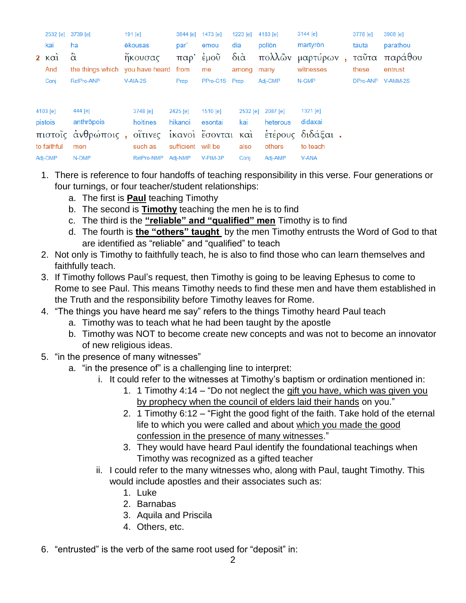| 2532 [e]            | 3739 [e]                        | 191 [e]    | 3844 [e]           | 1473 [e]      |             | 1223 [e] | 4183 [e]          | 3144 [e]         | 3778 [e] | 3908 [e] |
|---------------------|---------------------------------|------------|--------------------|---------------|-------------|----------|-------------------|------------------|----------|----------|
| kai                 | ha                              | ēkousas    | par'               | emou          | dia         |          | pollōn            | martyron         | tauta    | parathou |
| $2 \times \alpha i$ | $\hat{\alpha}$                  | ἤκουσας    | παρ' έμοῦ          |               | $\delta$ ιά |          |                   | πολλῶν μαρτύρων, | ταῦτα    | παράθου  |
| And                 | the things which you have heard |            | from               | me            |             | among    | many              | witnesses        | these    | entrust  |
| Conj                | RelPro-ANP                      | V-AIA-2S   | Prep               | PPro-G1S Prep |             |          | Adj-GMP           | N-GMP            | DPro-ANP | V-AMM-2S |
| 4103 [e]            | 444 [e]                         | 3748 [e]   | 2425 [e]           | 1510 [e]      |             |          | 2532 [e] 2087 [e] | 1321 [e]         |          |          |
| pistois             | anthropois                      | hoitines   | hikanoi            | esontai       |             | kai      | heterous          | didaxai          |          |          |
|                     | πιστοΐς άνθρώποις,              | οΐτινες    | ίκανοι έσονται και |               |             |          |                   | έτέρους διδάξαι. |          |          |
| to faithful         | men                             | such as    | sufficient will be |               |             | also     | others            | to teach         |          |          |
| Adj-DMP             | N-DMP                           | RelPro-NMP | Adj-NMP            | V-FIM-3P      |             | Conj     | Adj-AMP           | <b>V-ANA</b>     |          |          |

- 1. There is reference to four handoffs of teaching responsibility in this verse. Four generations or four turnings, or four teacher/student relationships:
	- a. The first is **Paul** teaching Timothy
	- b. The second is **Timothy** teaching the men he is to find
	- c. The third is the **"reliable" and "qualified" men** Timothy is to find
	- d. The fourth is **the "others" taught** by the men Timothy entrusts the Word of God to that are identified as "reliable" and "qualified" to teach
- 2. Not only is Timothy to faithfully teach, he is also to find those who can learn themselves and faithfully teach.
- 3. If Timothy follows Paul's request, then Timothy is going to be leaving Ephesus to come to Rome to see Paul. This means Timothy needs to find these men and have them established in the Truth and the responsibility before Timothy leaves for Rome.
- 4. "The things you have heard me say" refers to the things Timothy heard Paul teach
	- a. Timothy was to teach what he had been taught by the apostle
	- b. Timothy was NOT to become create new concepts and was not to become an innovator of new religious ideas.
- 5. "in the presence of many witnesses"
	- a. "in the presence of" is a challenging line to interpret:
		- i. It could refer to the witnesses at Timothy's baptism or ordination mentioned in:
			- 1. 1 Timothy 4:14 "Do not neglect the gift you have, which was given you by prophecy when the council of elders laid their hands on you."
			- 2. 1 Timothy 6:12 "Fight the good fight of the faith. Take hold of the eternal life to which you were called and about which you made the good confession in the presence of many witnesses."
			- 3. They would have heard Paul identify the foundational teachings when Timothy was recognized as a gifted teacher
		- ii. I could refer to the many witnesses who, along with Paul, taught Timothy. This would include apostles and their associates such as:
			- 1. Luke
			- 2. Barnabas
			- 3. Aquila and Priscila
			- 4. Others, etc.
- 6. "entrusted" is the verb of the same root used for "deposit" in: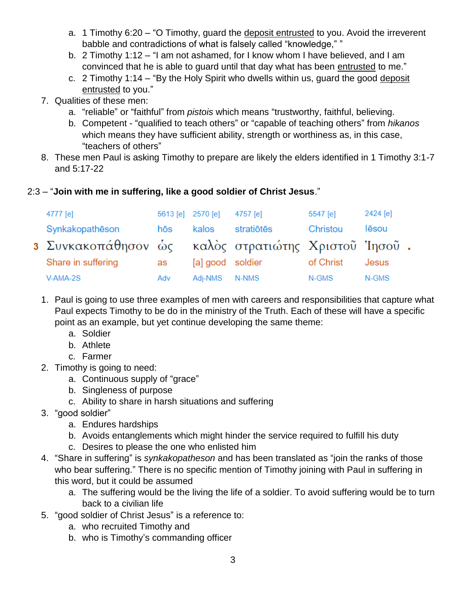- a. 1 Timothy 6:20 "O Timothy, guard the deposit entrusted to you. Avoid the irreverent babble and contradictions of what is falsely called "knowledge," "
- b. 2 Timothy 1:12 "I am not ashamed, for I know whom I have believed, and I am convinced that he is able to guard until that day what has been entrusted to me."
- c. 2 Timothy 1:14 "By the Holy Spirit who dwells within us, guard the good deposit entrusted to you."
- 7. Qualities of these men:
	- a. "reliable" or "faithful" from *pistois* which means "trustworthy, faithful, believing.
	- b. Competent "qualified to teach others" or "capable of teaching others" from *hikanos* which means they have sufficient ability, strength or worthiness as, in this case, "teachers of others"
- 8. These men Paul is asking Timothy to prepare are likely the elders identified in 1 Timothy 3:1-7 and 5:17-22
- 2:3 "**Join with me in suffering, like a good soldier of Christ Jesus**."

| 4777 [e]                                               | 5613 [e] 2570 [e] |                  | 4757 [e]   | 5547 [e]  | 2424 [e] |  |
|--------------------------------------------------------|-------------------|------------------|------------|-----------|----------|--|
| Synkakopatheson                                        | hōs               | kalos            | stratiōtēs | Christou  | lēsou    |  |
| 3 Συνκακοπάθησον ώς - καλὸς στρατιώτης Χριστοῦ Ἰησοῦ . |                   |                  |            |           |          |  |
| Share in suffering                                     | as                | [a] good soldier |            | of Christ | Jesus    |  |
| V-AMA-2S                                               | Adv               | Adi-NMS          | N-NMS      | N-GMS     | N-GMS    |  |

- 1. Paul is going to use three examples of men with careers and responsibilities that capture what Paul expects Timothy to be do in the ministry of the Truth. Each of these will have a specific point as an example, but yet continue developing the same theme:
	- a. Soldier
	- b. Athlete
	- c. Farmer
- 2. Timothy is going to need:
	- a. Continuous supply of "grace"
	- b. Singleness of purpose
	- c. Ability to share in harsh situations and suffering
- 3. "good soldier"
	- a. Endures hardships
	- b. Avoids entanglements which might hinder the service required to fulfill his duty
	- c. Desires to please the one who enlisted him
- 4. "Share in suffering" is *synkakopatheson* and has been translated as "join the ranks of those who bear suffering." There is no specific mention of Timothy joining with Paul in suffering in this word, but it could be assumed
	- a. The suffering would be the living the life of a soldier. To avoid suffering would be to turn back to a civilian life
- 5. "good soldier of Christ Jesus" is a reference to:
	- a. who recruited Timothy and
	- b. who is Timothy's commanding officer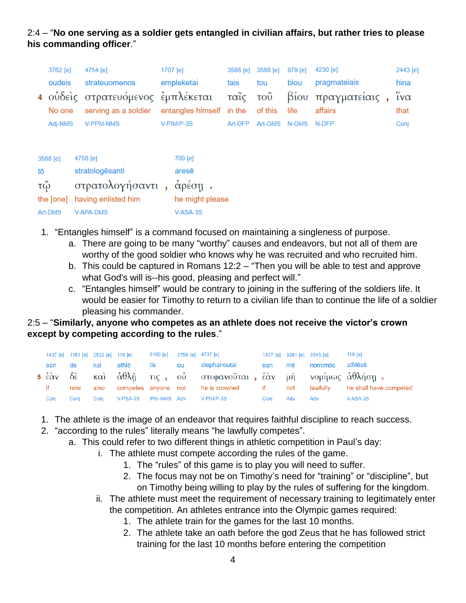# 2:4 – "**No one serving as a soldier gets entangled in civilian affairs, but rather tries to please his commanding officer**."

|         | 3762 [e]  |               | 4754 [e]                          |            | 1707 [e]                 | 3588 [e] | 3588 [e] | 979 [e] | 4230 [e]           | 2443 [e]               |
|---------|-----------|---------------|-----------------------------------|------------|--------------------------|----------|----------|---------|--------------------|------------------------|
|         | oudeis    | strateuomenos |                                   | empleketai |                          | tais     | tou      | biou    | pragmateiais       | hina                   |
|         |           |               | 4 ούδεις στρατευόμενος εμπλέκεται |            |                          | ταῖς τοῦ |          |         | βίου πραγματείαις, | $\tilde{i} \nu \alpha$ |
|         | No one    |               | serving as a soldier              |            | entangles himself in the |          | of this  | life    | affairs            | that                   |
| Adj-NMS |           |               | V-PPM-NMS                         |            | V-PIM/P-3S               | Art-DFP  | Art-GMS  | N-GMS   | N-DFP              | Conj                   |
|         |           |               |                                   |            |                          |          |          |         |                    |                        |
|         | 3588 [e]  |               | 4758 [e]                          |            | 700 [e]                  |          |          |         |                    |                        |
| tō      |           |               | stratologēsanti                   |            | arese                    |          |          |         |                    |                        |
|         |           |               |                                   |            |                          |          |          |         |                    |                        |
| τῷ      |           |               | στρατολογήσαντι,                  |            | $\dot{\alpha}$ ρέση.     |          |          |         |                    |                        |
|         | the [one] |               | having enlisted him               |            | he might please          |          |          |         |                    |                        |

1. "Entangles himself" is a command focused on maintaining a singleness of purpose.

V-ASA-3S

- a. There are going to be many "worthy" causes and endeavors, but not all of them are worthy of the good soldier who knows why he was recruited and who recruited him.
- b. This could be captured in Romans 12:2 "Then you will be able to test and approve what God's will is--his good, pleasing and perfect will."
- c. "Entangles himself" would be contrary to joining in the suffering of the soldiers life. It would be easier for Timothy to return to a civilian life than to continue the life of a soldier pleasing his commander.

#### 2:5 – "**Similarly, anyone who competes as an athlete does not receive the victor's crown except by competing according to the rules**."

|      |            |       |  | 1437 [e] 1161 [e] 2532 [e] 118 [e] 5100 [e] 3756 [e] 4737 [e] |      |     | 1437 [e] 3361 [e] 3545 [e] | $118$ [e]                                                                         |
|------|------------|-------|--|---------------------------------------------------------------|------|-----|----------------------------|-----------------------------------------------------------------------------------|
|      | ean de kai | athlē |  | tis ou stephanoutai  ean mē                                   |      |     | nomimōs athlēsē            |                                                                                   |
|      |            |       |  | 5 ἐὰν δὲ καὶ ἀθλῆ τις, οὐ στεφανοῦται, ἐὰν μὴ νομίμως ἀθλήσῃ. |      |     |                            |                                                                                   |
| If   |            |       |  |                                                               |      |     |                            | now also competes anyone not he is crowned if not lawfully he shall have competed |
| Conj | Coni       |       |  | Conj V-PSA-3S IPro-NMS Adv V-PIM/P-3S                         | Conj | Adv | Adv                        | V-ASA-3S                                                                          |

- 1. The athlete is the image of an endeavor that requires faithful discipline to reach success.
- 2. "according to the rules" literally means "he lawfully competes".

Art-DMS

V-APA-DMS

- a. This could refer to two different things in athletic competition in Paul's day:
	- i. The athlete must compete according the rules of the game.
		- 1. The "rules" of this game is to play you will need to suffer.
		- 2. The focus may not be on Timothy's need for "training" or "discipline", but on Timothy being willing to play by the rules of suffering for the kingdom.
	- ii. The athlete must meet the requirement of necessary training to legitimately enter the competition. An athletes entrance into the Olympic games required:
		- 1. The athlete train for the games for the last 10 months.
		- 2. The athlete take an oath before the god Zeus that he has followed strict training for the last 10 months before entering the competition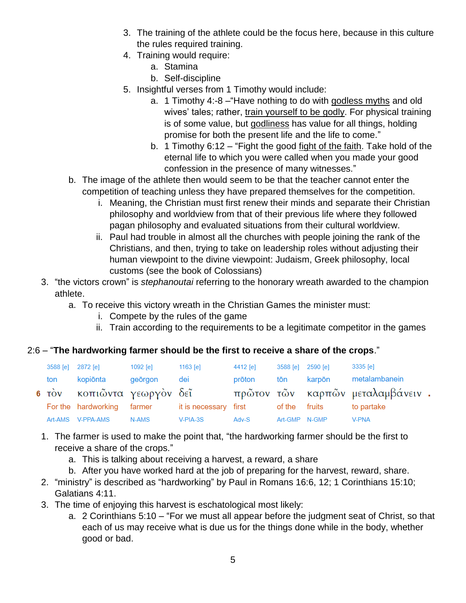- 3. The training of the athlete could be the focus here, because in this culture the rules required training.
- 4. Training would require:
	- a. Stamina
	- b. Self-discipline
- 5. Insightful verses from 1 Timothy would include:
	- a. 1 Timothy 4:-8 –"Have nothing to do with godless myths and old wives' tales; rather, train yourself to be godly. For physical training is of some value, but godliness has value for all things, holding promise for both the present life and the life to come."
	- b. 1 Timothy 6:12 "Fight the good fight of the faith. Take hold of the eternal life to which you were called when you made your good confession in the presence of many witnesses."
- b. The image of the athlete then would seem to be that the teacher cannot enter the competition of teaching unless they have prepared themselves for the competition.
	- i. Meaning, the Christian must first renew their minds and separate their Christian philosophy and worldview from that of their previous life where they followed pagan philosophy and evaluated situations from their cultural worldview.
	- ii. Paul had trouble in almost all the churches with people joining the rank of the Christians, and then, trying to take on leadership roles without adjusting their human viewpoint to the divine viewpoint: Judaism, Greek philosophy, local customs (see the book of Colossians)
- 3. "the victors crown" is *stephanoutai* referring to the honorary wreath awarded to the champion athlete.
	- a. To receive this victory wreath in the Christian Games the minister must:
		- i. Compete by the rules of the game
		- ii. Train according to the requirements to be a legitimate competitor in the games

# 2:6 – "**The hardworking farmer should be the first to receive a share of the crops**."

| 3588 [e] | 2872 [e]                   | $1092$ [e] | 1163 $[e]$            | 4412 [e] | 3588 [e] 2590 [e] |        | 3335 [e]                          |  |
|----------|----------------------------|------------|-----------------------|----------|-------------------|--------|-----------------------------------|--|
| ton      | kopiōnta                   | geörgon    | dei                   | prōton   | tōn               | karpōn | metalambanein                     |  |
|          | 6 τον κοπιώντα γεωργον δεί |            |                       |          |                   |        | πρῶτον τῶν καρπῶν μεταλαμβάνειν . |  |
|          | For the hardworking farmer |            | it is necessary first |          | of the fruits     |        | to partake                        |  |
|          | Art-AMS V-PPA-AMS          | N-AMS      | $V-PIA-3S$            | Adv-S    | Art-GMP N-GMP     |        | V-PNA                             |  |

- 1. The farmer is used to make the point that, "the hardworking farmer should be the first to receive a share of the crops."
	- a. This is talking about receiving a harvest, a reward, a share
	- b. After you have worked hard at the job of preparing for the harvest, reward, share.
- 2. "ministry" is described as "hardworking" by Paul in Romans 16:6, 12; 1 Corinthians 15:10; Galatians 4:11.
- 3. The time of enjoying this harvest is eschatological most likely:
	- a. 2 Corinthians 5:10 "For we must all appear before the judgment seat of Christ, so that each of us may receive what is due us for the things done while in the body, whether good or bad.